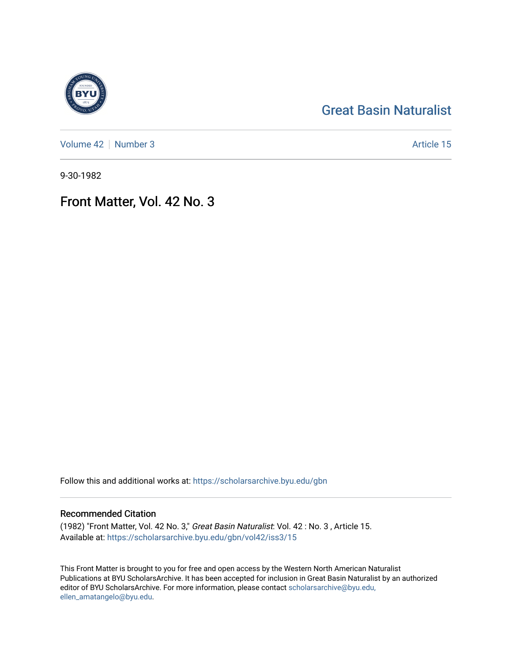## [Great Basin Naturalist](https://scholarsarchive.byu.edu/gbn)

[Volume 42](https://scholarsarchive.byu.edu/gbn/vol42) | [Number 3](https://scholarsarchive.byu.edu/gbn/vol42/iss3) Article 15

9-30-1982

## Front Matter, Vol. 42 No. 3

Follow this and additional works at: [https://scholarsarchive.byu.edu/gbn](https://scholarsarchive.byu.edu/gbn?utm_source=scholarsarchive.byu.edu%2Fgbn%2Fvol42%2Fiss3%2F15&utm_medium=PDF&utm_campaign=PDFCoverPages) 

### Recommended Citation

(1982) "Front Matter, Vol. 42 No. 3," Great Basin Naturalist: Vol. 42 : No. 3 , Article 15. Available at: [https://scholarsarchive.byu.edu/gbn/vol42/iss3/15](https://scholarsarchive.byu.edu/gbn/vol42/iss3/15?utm_source=scholarsarchive.byu.edu%2Fgbn%2Fvol42%2Fiss3%2F15&utm_medium=PDF&utm_campaign=PDFCoverPages) 

This Front Matter is brought to you for free and open access by the Western North American Naturalist Publications at BYU ScholarsArchive. It has been accepted for inclusion in Great Basin Naturalist by an authorized editor of BYU ScholarsArchive. For more information, please contact [scholarsarchive@byu.edu,](mailto:scholarsarchive@byu.edu,%20ellen_amatangelo@byu.edu) [ellen\\_amatangelo@byu.edu](mailto:scholarsarchive@byu.edu,%20ellen_amatangelo@byu.edu).

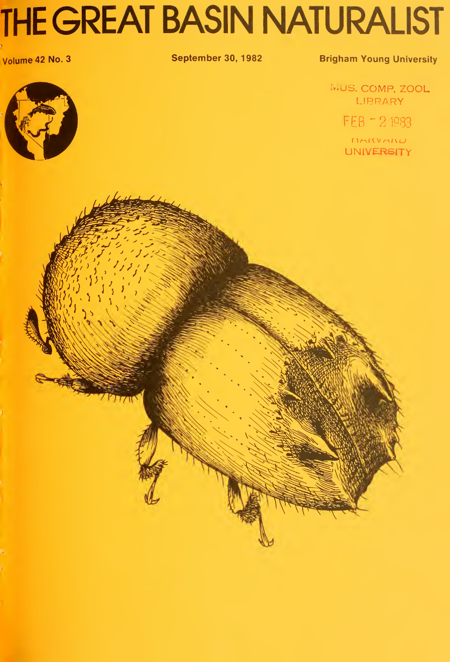# THE GREAT BASIN NATURALIST

### Volume 42 No. 3 September 30, 1982 Brigham Young University

MUS. COMP. ZOOL LIBRARY

FEB = 2 1983

MARINAIN UNIVERSITY